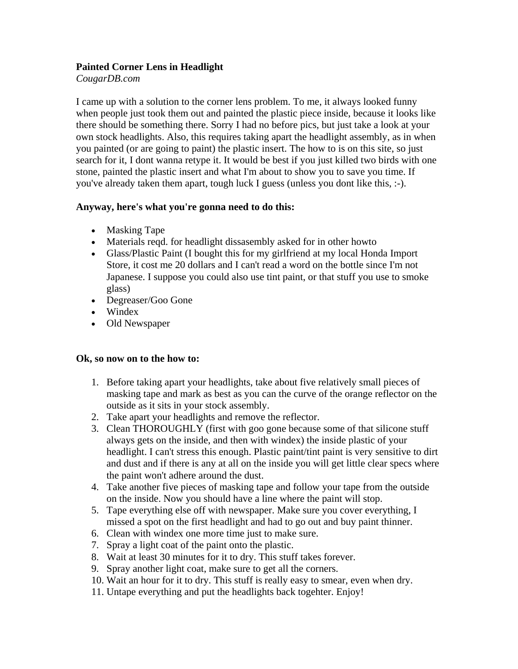## **Painted Corner Lens in Headlight**

*CougarDB.com* 

I came up with a solution to the corner lens problem. To me, it always looked funny when people just took them out and painted the plastic piece inside, because it looks like there should be something there. Sorry I had no before pics, but just take a look at your own stock headlights. Also, this requires taking apart the headlight assembly, as in when you painted (or are going to paint) the plastic insert. The how to is on this site, so just search for it, I dont wanna retype it. It would be best if you just killed two birds with one stone, painted the plastic insert and what I'm about to show you to save you time. If you've already taken them apart, tough luck I guess (unless you dont like this, :-).

## **Anyway, here's what you're gonna need to do this:**

- Masking Tape
- Materials reqd. for headlight dissasembly asked for in other howto
- Glass/Plastic Paint (I bought this for my girlfriend at my local Honda Import Store, it cost me 20 dollars and I can't read a word on the bottle since I'm not Japanese. I suppose you could also use tint paint, or that stuff you use to smoke glass)
- Degreaser/Goo Gone
- Windex
- Old Newspaper

## **Ok, so now on to the how to:**

- 1. Before taking apart your headlights, take about five relatively small pieces of masking tape and mark as best as you can the curve of the orange reflector on the outside as it sits in your stock assembly.
- 2. Take apart your headlights and remove the reflector.
- 3. Clean THOROUGHLY (first with goo gone because some of that silicone stuff always gets on the inside, and then with windex) the inside plastic of your headlight. I can't stress this enough. Plastic paint/tint paint is very sensitive to dirt and dust and if there is any at all on the inside you will get little clear specs where the paint won't adhere around the dust.
- 4. Take another five pieces of masking tape and follow your tape from the outside on the inside. Now you should have a line where the paint will stop.
- 5. Tape everything else off with newspaper. Make sure you cover everything, I missed a spot on the first headlight and had to go out and buy paint thinner.
- 6. Clean with windex one more time just to make sure.
- 7. Spray a light coat of the paint onto the plastic.
- 8. Wait at least 30 minutes for it to dry. This stuff takes forever.
- 9. Spray another light coat, make sure to get all the corners.
- 10. Wait an hour for it to dry. This stuff is really easy to smear, even when dry.
- 11. Untape everything and put the headlights back togehter. Enjoy!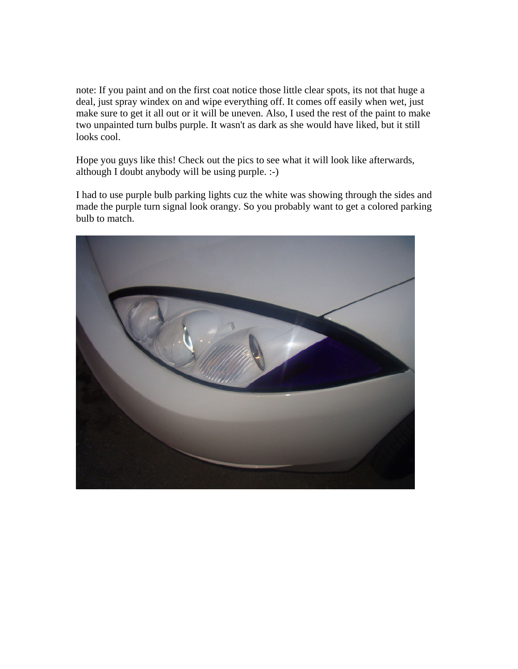note: If you paint and on the first coat notice those little clear spots, its not that huge a deal, just spray windex on and wipe everything off. It comes off easily when wet, just make sure to get it all out or it will be uneven. Also, I used the rest of the paint to make two unpainted turn bulbs purple. It wasn't as dark as she would have liked, but it still looks cool.

Hope you guys like this! Check out the pics to see what it will look like afterwards, although I doubt anybody will be using purple. :-)

I had to use purple bulb parking lights cuz the white was showing through the sides and made the purple turn signal look orangy. So you probably want to get a colored parking bulb to match.

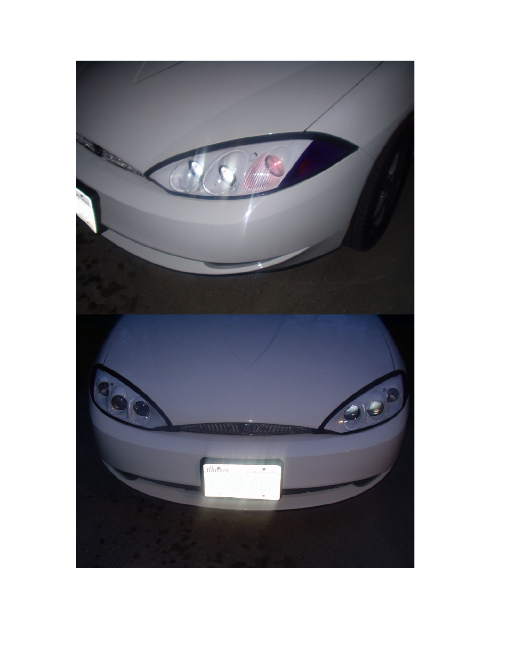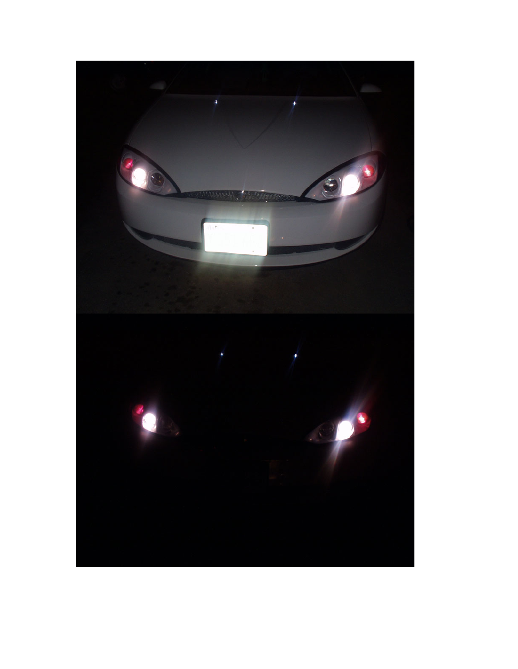